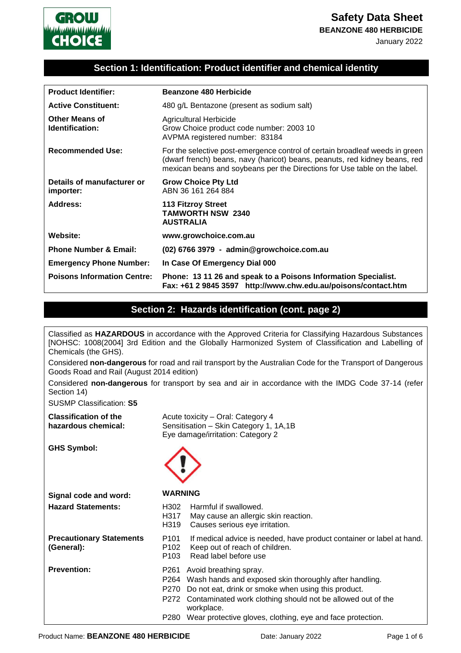

**BEANZONE 480 HERBICIDE**

January 2022

#### **Section 1: Identification: Product identifier and chemical identity**

| <b>Product Identifier:</b>               | Beanzone 480 Herbicide                                                                                                                                                                                                                  |  |
|------------------------------------------|-----------------------------------------------------------------------------------------------------------------------------------------------------------------------------------------------------------------------------------------|--|
| <b>Active Constituent:</b>               | 480 g/L Bentazone (present as sodium salt)                                                                                                                                                                                              |  |
| <b>Other Means of</b><br>Identification: | Agricultural Herbicide<br>Grow Choice product code number: 2003 10<br>AVPMA registered number: 83184                                                                                                                                    |  |
| <b>Recommended Use:</b>                  | For the selective post-emergence control of certain broadleaf weeds in green<br>(dwarf french) beans, navy (haricot) beans, peanuts, red kidney beans, red<br>mexican beans and soybeans per the Directions for Use table on the label. |  |
| Details of manufacturer or<br>importer:  | <b>Grow Choice Pty Ltd</b><br>ABN 36 161 264 884                                                                                                                                                                                        |  |
| Address:                                 | <b>113 Fitzroy Street</b><br><b>TAMWORTH NSW 2340</b><br><b>AUSTRALIA</b>                                                                                                                                                               |  |
| Website:                                 | www.growchoice.com.au                                                                                                                                                                                                                   |  |
| <b>Phone Number &amp; Email:</b>         | (02) 6766 3979 - admin@growchoice.com.au                                                                                                                                                                                                |  |
| <b>Emergency Phone Number:</b>           | In Case Of Emergency Dial 000                                                                                                                                                                                                           |  |
| <b>Poisons Information Centre:</b>       | Phone: 13 11 26 and speak to a Poisons Information Specialist.<br>Fax: +61 2 9845 3597 http://www.chw.edu.au/poisons/contact.htm                                                                                                        |  |

#### **Section 2: Hazards identification (cont. page 2)**

Classified as **HAZARDOUS** in accordance with the Approved Criteria for Classifying Hazardous Substances

| [NOHSC: 1008(2004] 3rd Edition and the Globally Harmonized System of Classification and Labelling of<br>Chemicals (the GHS). |                                                                                                                                                                                                                                                                                                                |  |
|------------------------------------------------------------------------------------------------------------------------------|----------------------------------------------------------------------------------------------------------------------------------------------------------------------------------------------------------------------------------------------------------------------------------------------------------------|--|
| Goods Road and Rail (August 2014 edition)                                                                                    | Considered non-dangerous for road and rail transport by the Australian Code for the Transport of Dangerous                                                                                                                                                                                                     |  |
| Section 14)                                                                                                                  | Considered non-dangerous for transport by sea and air in accordance with the IMDG Code 37-14 (refer                                                                                                                                                                                                            |  |
| <b>SUSMP Classification: S5</b>                                                                                              |                                                                                                                                                                                                                                                                                                                |  |
| <b>Classification of the</b><br>hazardous chemical:                                                                          | Acute toxicity - Oral: Category 4<br>Sensitisation - Skin Category 1, 1A,1B<br>Eye damage/irritation: Category 2                                                                                                                                                                                               |  |
| <b>GHS Symbol:</b>                                                                                                           |                                                                                                                                                                                                                                                                                                                |  |
| Signal code and word:                                                                                                        | <b>WARNING</b>                                                                                                                                                                                                                                                                                                 |  |
| <b>Hazard Statements:</b>                                                                                                    | Harmful if swallowed.<br>H302<br>H317<br>May cause an allergic skin reaction.<br>H319<br>Causes serious eye irritation.                                                                                                                                                                                        |  |
| <b>Precautionary Statements</b><br>(General):                                                                                | P <sub>101</sub><br>If medical advice is needed, have product container or label at hand.<br>P <sub>102</sub><br>Keep out of reach of children.<br>Read label before use<br>P <sub>103</sub>                                                                                                                   |  |
| <b>Prevention:</b>                                                                                                           | P261 Avoid breathing spray.<br>P264 Wash hands and exposed skin thoroughly after handling.<br>Do not eat, drink or smoke when using this product.<br>P270<br>P272 Contaminated work clothing should not be allowed out of the<br>workplace.<br>P280 Wear protective gloves, clothing, eye and face protection. |  |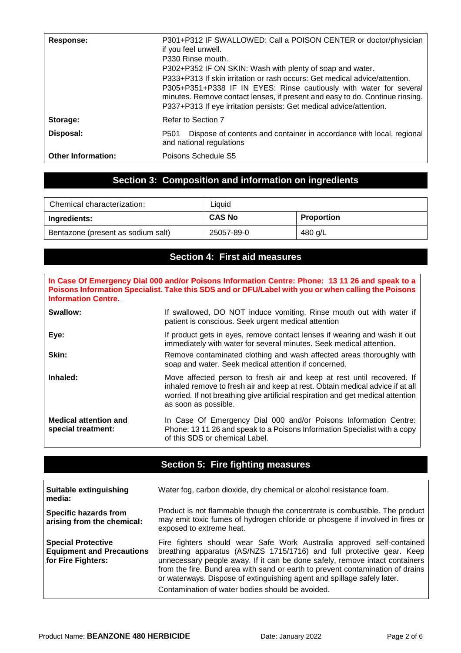| Response:                 | P301+P312 IF SWALLOWED: Call a POISON CENTER or doctor/physician<br>if you feel unwell.<br>P330 Rinse mouth.<br>P302+P352 IF ON SKIN: Wash with plenty of soap and water.<br>P333+P313 If skin irritation or rash occurs: Get medical advice/attention.<br>P305+P351+P338 IF IN EYES: Rinse cautiously with water for several<br>minutes. Remove contact lenses, if present and easy to do. Continue rinsing.<br>P337+P313 If eye irritation persists: Get medical advice/attention. |  |
|---------------------------|--------------------------------------------------------------------------------------------------------------------------------------------------------------------------------------------------------------------------------------------------------------------------------------------------------------------------------------------------------------------------------------------------------------------------------------------------------------------------------------|--|
| Storage:                  | Refer to Section 7                                                                                                                                                                                                                                                                                                                                                                                                                                                                   |  |
| Disposal:                 | Dispose of contents and container in accordance with local, regional<br>P <sub>501</sub><br>and national regulations                                                                                                                                                                                                                                                                                                                                                                 |  |
| <b>Other Information:</b> | Poisons Schedule S5                                                                                                                                                                                                                                                                                                                                                                                                                                                                  |  |

# **Section 3: Composition and information on ingredients**

| Chemical characterization:         | ∟iquid        |            |
|------------------------------------|---------------|------------|
| Ingredients:                       | <b>CAS No</b> | Proportion |
| Bentazone (present as sodium salt) | 25057-89-0    | 480 g/L    |

#### **Section 4: First aid measures**

| In Case Of Emergency Dial 000 and/or Poisons Information Centre: Phone: 13 11 26 and speak to a<br>Poisons Information Specialist. Take this SDS and or DFU/Label with you or when calling the Poisons<br><b>Information Centre.</b> |                                                                                                                                                                                                                                                                    |  |
|--------------------------------------------------------------------------------------------------------------------------------------------------------------------------------------------------------------------------------------|--------------------------------------------------------------------------------------------------------------------------------------------------------------------------------------------------------------------------------------------------------------------|--|
| Swallow:                                                                                                                                                                                                                             | If swallowed, DO NOT induce vomiting. Rinse mouth out with water if<br>patient is conscious. Seek urgent medical attention                                                                                                                                         |  |
| Eye:                                                                                                                                                                                                                                 | If product gets in eyes, remove contact lenses if wearing and wash it out<br>immediately with water for several minutes. Seek medical attention.                                                                                                                   |  |
| Skin:                                                                                                                                                                                                                                | Remove contaminated clothing and wash affected areas thoroughly with<br>soap and water. Seek medical attention if concerned.                                                                                                                                       |  |
| Inhaled:                                                                                                                                                                                                                             | Move affected person to fresh air and keep at rest until recovered. If<br>inhaled remove to fresh air and keep at rest. Obtain medical advice if at all<br>worried. If not breathing give artificial respiration and get medical attention<br>as soon as possible. |  |
| <b>Medical attention and</b><br>special treatment:                                                                                                                                                                                   | In Case Of Emergency Dial 000 and/or Poisons Information Centre:<br>Phone: 13 11 26 and speak to a Poisons Information Specialist with a copy<br>of this SDS or chemical Label.                                                                                    |  |

# **Section 5: Fire fighting measures**

| Suitable extinguishing<br>l media:                                                  | Water fog, carbon dioxide, dry chemical or alcohol resistance foam.                                                                                                                                                                                                                                                                                                                                                                            |
|-------------------------------------------------------------------------------------|------------------------------------------------------------------------------------------------------------------------------------------------------------------------------------------------------------------------------------------------------------------------------------------------------------------------------------------------------------------------------------------------------------------------------------------------|
| Specific hazards from<br>arising from the chemical:                                 | Product is not flammable though the concentrate is combustible. The product<br>may emit toxic fumes of hydrogen chloride or phosgene if involved in fires or<br>exposed to extreme heat.                                                                                                                                                                                                                                                       |
| <b>Special Protective</b><br><b>Equipment and Precautions</b><br>for Fire Fighters: | Fire fighters should wear Safe Work Australia approved self-contained<br>breathing apparatus (AS/NZS 1715/1716) and full protective gear. Keep<br>unnecessary people away. If it can be done safely, remove intact containers<br>from the fire. Bund area with sand or earth to prevent contamination of drains<br>or waterways. Dispose of extinguishing agent and spillage safely later.<br>Contamination of water bodies should be avoided. |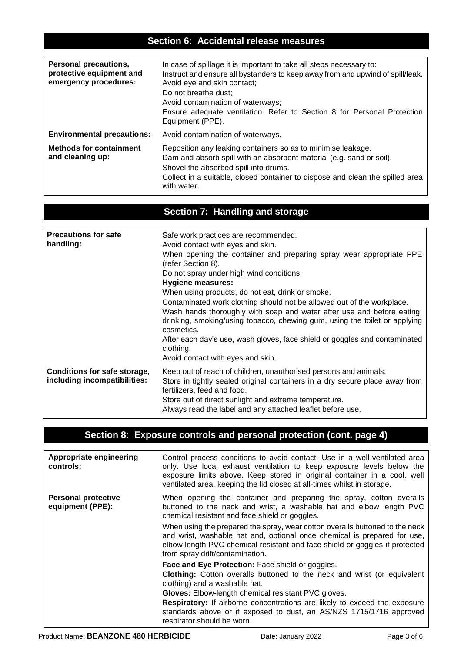### **Section 6: Accidental release measures**

| <b>Personal precautions,</b><br>protective equipment and<br>emergency procedures: | In case of spillage it is important to take all steps necessary to:<br>Instruct and ensure all bystanders to keep away from and upwind of spill/leak.<br>Avoid eye and skin contact;<br>Do not breathe dust;<br>Avoid contamination of waterways;<br>Ensure adequate ventilation. Refer to Section 8 for Personal Protection<br>Equipment (PPE). |  |
|-----------------------------------------------------------------------------------|--------------------------------------------------------------------------------------------------------------------------------------------------------------------------------------------------------------------------------------------------------------------------------------------------------------------------------------------------|--|
| <b>Environmental precautions:</b>                                                 | Avoid contamination of waterways.                                                                                                                                                                                                                                                                                                                |  |
| <b>Methods for containment</b><br>and cleaning up:                                | Reposition any leaking containers so as to minimise leakage.<br>Dam and absorb spill with an absorbent material (e.g. sand or soil).<br>Shovel the absorbed spill into drums.<br>Collect in a suitable, closed container to dispose and clean the spilled area<br>with water.                                                                    |  |

# **Section 7: Handling and storage**

| <b>Precautions for safe</b><br>handling:                     | Safe work practices are recommended.<br>Avoid contact with eyes and skin.<br>When opening the container and preparing spray wear appropriate PPE<br>(refer Section 8).<br>Do not spray under high wind conditions.<br><b>Hygiene measures:</b><br>When using products, do not eat, drink or smoke.<br>Contaminated work clothing should not be allowed out of the workplace.<br>Wash hands thoroughly with soap and water after use and before eating,<br>drinking, smoking/using tobacco, chewing gum, using the toilet or applying<br>cosmetics.<br>After each day's use, wash gloves, face shield or goggles and contaminated<br>clothing.<br>Avoid contact with eyes and skin. |
|--------------------------------------------------------------|------------------------------------------------------------------------------------------------------------------------------------------------------------------------------------------------------------------------------------------------------------------------------------------------------------------------------------------------------------------------------------------------------------------------------------------------------------------------------------------------------------------------------------------------------------------------------------------------------------------------------------------------------------------------------------|
| Conditions for safe storage,<br>including incompatibilities: | Keep out of reach of children, unauthorised persons and animals.<br>Store in tightly sealed original containers in a dry secure place away from<br>fertilizers, feed and food.<br>Store out of direct sunlight and extreme temperature.<br>Always read the label and any attached leaflet before use.                                                                                                                                                                                                                                                                                                                                                                              |

## **Section 8: Exposure controls and personal protection (cont. page 4)**

| Appropriate engineering<br>controls:           | Control process conditions to avoid contact. Use in a well-ventilated area<br>only. Use local exhaust ventilation to keep exposure levels below the<br>exposure limits above. Keep stored in original container in a cool, well<br>ventilated area, keeping the lid closed at all-times whilst in storage.                                                                                                          |
|------------------------------------------------|---------------------------------------------------------------------------------------------------------------------------------------------------------------------------------------------------------------------------------------------------------------------------------------------------------------------------------------------------------------------------------------------------------------------|
| <b>Personal protective</b><br>equipment (PPE): | When opening the container and preparing the spray, cotton overalls<br>buttoned to the neck and wrist, a washable hat and elbow length PVC<br>chemical resistant and face shield or goggles.                                                                                                                                                                                                                        |
|                                                | When using the prepared the spray, wear cotton overalls buttoned to the neck<br>and wrist, washable hat and, optional once chemical is prepared for use,<br>elbow length PVC chemical resistant and face shield or goggles if protected<br>from spray drift/contamination.                                                                                                                                          |
|                                                | Face and Eye Protection: Face shield or goggles.<br><b>Clothing:</b> Cotton overalls buttoned to the neck and wrist (or equivalent<br>clothing) and a washable hat.<br>Gloves: Elbow-length chemical resistant PVC gloves.<br><b>Respiratory:</b> If airborne concentrations are likely to exceed the exposure<br>standards above or if exposed to dust, an AS/NZS 1715/1716 approved<br>respirator should be worn. |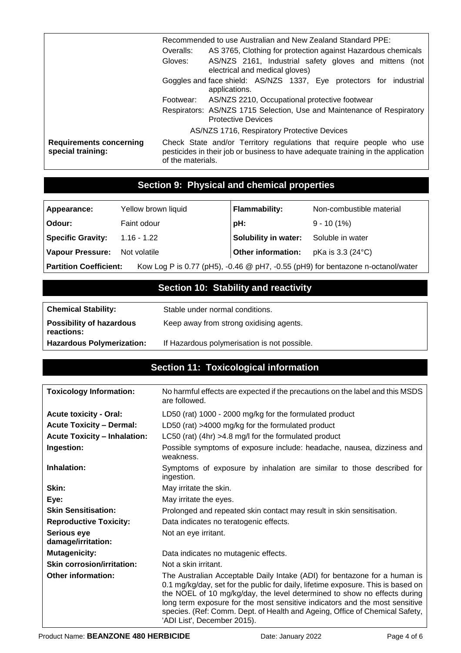|                                                     | Recommended to use Australian and New Zealand Standard PPE:                                                                                                                   |                                                                                                     |
|-----------------------------------------------------|-------------------------------------------------------------------------------------------------------------------------------------------------------------------------------|-----------------------------------------------------------------------------------------------------|
|                                                     | AS 3765, Clothing for protection against Hazardous chemicals<br>Overalls:                                                                                                     |                                                                                                     |
|                                                     | Gloves:                                                                                                                                                                       | AS/NZS 2161, Industrial safety gloves and mittens (not<br>electrical and medical gloves)            |
|                                                     | Goggles and face shield: AS/NZS 1337, Eye protectors for industrial<br>applications.                                                                                          |                                                                                                     |
|                                                     | Footwear:                                                                                                                                                                     | AS/NZS 2210, Occupational protective footwear                                                       |
|                                                     |                                                                                                                                                                               | Respirators: AS/NZS 1715 Selection, Use and Maintenance of Respiratory<br><b>Protective Devices</b> |
|                                                     | AS/NZS 1716, Respiratory Protective Devices                                                                                                                                   |                                                                                                     |
| <b>Requirements concerning</b><br>special training: | Check State and/or Territory regulations that require people who use<br>pesticides in their job or business to have adequate training in the application<br>of the materials. |                                                                                                     |

## **Section 9: Physical and chemical properties**

| Appearance:                   | Yellow brown liquid | <b>Flammability:</b> | Non-combustible material                                                        |
|-------------------------------|---------------------|----------------------|---------------------------------------------------------------------------------|
| Odour:                        | Faint odour         | pH:                  | $9 - 10(1%)$                                                                    |
| <b>Specific Gravity:</b>      | 1.16 - 1.22         | Solubility in water: | Soluble in water                                                                |
| Vapour Pressure:              | Not volatile        | Other information:   | pKa is 3.3 (24 °C)                                                              |
| <b>Partition Coefficient:</b> |                     |                      | Kow Log P is 0.77 (pH5), -0.46 @ pH7, -0.55 (pH9) for bentazone n-octanol/water |

## **Section 10: Stability and reactivity**

| <b>Chemical Stability:</b>                    | Stable under normal conditions.         |
|-----------------------------------------------|-----------------------------------------|
| <b>Possibility of hazardous</b><br>reactions: | Keep away from strong oxidising agents. |
|                                               |                                         |

#### **Hazardous Polymerization:** If Hazardous polymerisation is not possible.

### **Section 11: Toxicological information**

| <b>Toxicology Information:</b>           | No harmful effects are expected if the precautions on the label and this MSDS<br>are followed.                                                                                                                                                                                                                                                                                                                                         |
|------------------------------------------|----------------------------------------------------------------------------------------------------------------------------------------------------------------------------------------------------------------------------------------------------------------------------------------------------------------------------------------------------------------------------------------------------------------------------------------|
| <b>Acute toxicity - Oral:</b>            | LD50 (rat) 1000 - 2000 mg/kg for the formulated product                                                                                                                                                                                                                                                                                                                                                                                |
| <b>Acute Toxicity - Dermal:</b>          | LD50 (rat) >4000 mg/kg for the formulated product                                                                                                                                                                                                                                                                                                                                                                                      |
| <b>Acute Toxicity - Inhalation:</b>      | LC50 (rat) (4hr) >4.8 mg/l for the formulated product                                                                                                                                                                                                                                                                                                                                                                                  |
| Ingestion:                               | Possible symptoms of exposure include: headache, nausea, dizziness and<br>weakness.                                                                                                                                                                                                                                                                                                                                                    |
| Inhalation:                              | Symptoms of exposure by inhalation are similar to those described for<br>ingestion.                                                                                                                                                                                                                                                                                                                                                    |
| Skin:                                    | May irritate the skin.                                                                                                                                                                                                                                                                                                                                                                                                                 |
| Eye:                                     | May irritate the eyes.                                                                                                                                                                                                                                                                                                                                                                                                                 |
| <b>Skin Sensitisation:</b>               | Prolonged and repeated skin contact may result in skin sensitisation.                                                                                                                                                                                                                                                                                                                                                                  |
| <b>Reproductive Toxicity:</b>            | Data indicates no teratogenic effects.                                                                                                                                                                                                                                                                                                                                                                                                 |
| <b>Serious eye</b><br>damage/irritation: | Not an eye irritant.                                                                                                                                                                                                                                                                                                                                                                                                                   |
| <b>Mutagenicity:</b>                     | Data indicates no mutagenic effects.                                                                                                                                                                                                                                                                                                                                                                                                   |
| <b>Skin corrosion/irritation:</b>        | Not a skin irritant.                                                                                                                                                                                                                                                                                                                                                                                                                   |
| <b>Other information:</b>                | The Australian Acceptable Daily Intake (ADI) for bentazone for a human is<br>0.1 mg/kg/day, set for the public for daily, lifetime exposure. This is based on<br>the NOEL of 10 mg/kg/day, the level determined to show no effects during<br>long term exposure for the most sensitive indicators and the most sensitive<br>species. (Ref: Comm. Dept. of Health and Ageing, Office of Chemical Safety,<br>'ADI List', December 2015). |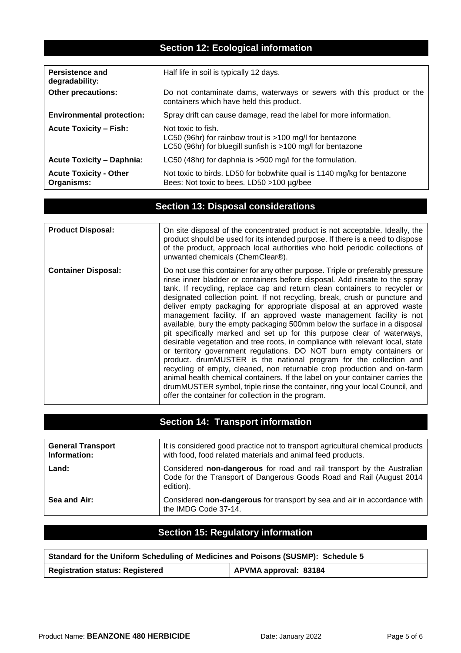### **Section 12: Ecological information**

| <b>Persistence and</b><br>degradability:    | Half life in soil is typically 12 days.                                                                                                         |
|---------------------------------------------|-------------------------------------------------------------------------------------------------------------------------------------------------|
| <b>Other precautions:</b>                   | Do not contaminate dams, waterways or sewers with this product or the<br>containers which have held this product.                               |
| <b>Environmental protection:</b>            | Spray drift can cause damage, read the label for more information.                                                                              |
| <b>Acute Toxicity - Fish:</b>               | Not toxic to fish.<br>LC50 (96hr) for rainbow trout is $>100$ mg/l for bentazone<br>LC50 (96hr) for bluegill sunfish is >100 mg/l for bentazone |
| <b>Acute Toxicity - Daphnia:</b>            | LC50 (48hr) for daphnia is >500 mg/l for the formulation.                                                                                       |
| <b>Acute Toxicity - Other</b><br>Organisms: | Not toxic to birds. LD50 for bobwhite quail is 1140 mg/kg for bentazone<br>Bees: Not toxic to bees. LD50 >100 µg/bee                            |

## **Section 13: Disposal considerations**

| <b>Product Disposal:</b>   | On site disposal of the concentrated product is not acceptable. Ideally, the<br>product should be used for its intended purpose. If there is a need to dispose<br>of the product, approach local authorities who hold periodic collections of<br>unwanted chemicals (ChemClear®).                                                                                                                                                                                                                                                                                                                                                                                                                                                                                                                                                                                                                                                                                                                                                                                                                                                                                   |
|----------------------------|---------------------------------------------------------------------------------------------------------------------------------------------------------------------------------------------------------------------------------------------------------------------------------------------------------------------------------------------------------------------------------------------------------------------------------------------------------------------------------------------------------------------------------------------------------------------------------------------------------------------------------------------------------------------------------------------------------------------------------------------------------------------------------------------------------------------------------------------------------------------------------------------------------------------------------------------------------------------------------------------------------------------------------------------------------------------------------------------------------------------------------------------------------------------|
| <b>Container Disposal:</b> | Do not use this container for any other purpose. Triple or preferably pressure<br>rinse inner bladder or containers before disposal. Add rinsate to the spray<br>tank. If recycling, replace cap and return clean containers to recycler or<br>designated collection point. If not recycling, break, crush or puncture and<br>deliver empty packaging for appropriate disposal at an approved waste<br>management facility. If an approved waste management facility is not<br>available, bury the empty packaging 500mm below the surface in a disposal<br>pit specifically marked and set up for this purpose clear of waterways,<br>desirable vegetation and tree roots, in compliance with relevant local, state<br>or territory government regulations. DO NOT burn empty containers or<br>product. drumMUSTER is the national program for the collection and<br>recycling of empty, cleaned, non returnable crop production and on-farm<br>animal health chemical containers. If the label on your container carries the<br>drumMUSTER symbol, triple rinse the container, ring your local Council, and<br>offer the container for collection in the program. |

# **Section 14: Transport information**

| <b>General Transport</b><br>Information: | It is considered good practice not to transport agricultural chemical products<br>with food, food related materials and animal feed products.               |
|------------------------------------------|-------------------------------------------------------------------------------------------------------------------------------------------------------------|
| Land:                                    | Considered non-dangerous for road and rail transport by the Australian<br>Code for the Transport of Dangerous Goods Road and Rail (August 2014<br>edition). |
| Sea and Air:                             | Considered non-dangerous for transport by sea and air in accordance with<br>the IMDG Code 37-14.                                                            |

# **Section 15: Regulatory information**

| Standard for the Uniform Scheduling of Medicines and Poisons (SUSMP): Schedule 5 |                       |  |  |  |
|----------------------------------------------------------------------------------|-----------------------|--|--|--|
| <b>Registration status: Registered</b>                                           | APVMA approval: 83184 |  |  |  |